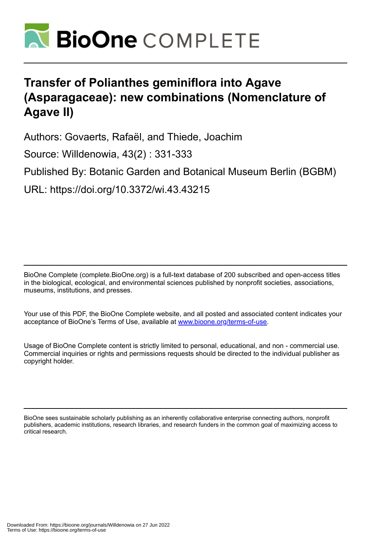

# **Transfer of Polianthes geminiflora into Agave (Asparagaceae): new combinations (Nomenclature of Agave II)**

Authors: Govaerts, Rafaël, and Thiede, Joachim

Source: Willdenowia, 43(2) : 331-333

Published By: Botanic Garden and Botanical Museum Berlin (BGBM)

URL: https://doi.org/10.3372/wi.43.43215

BioOne Complete (complete.BioOne.org) is a full-text database of 200 subscribed and open-access titles in the biological, ecological, and environmental sciences published by nonprofit societies, associations, museums, institutions, and presses.

Your use of this PDF, the BioOne Complete website, and all posted and associated content indicates your acceptance of BioOne's Terms of Use, available at www.bioone.org/terms-of-use.

Usage of BioOne Complete content is strictly limited to personal, educational, and non - commercial use. Commercial inquiries or rights and permissions requests should be directed to the individual publisher as copyright holder.

BioOne sees sustainable scholarly publishing as an inherently collaborative enterprise connecting authors, nonprofit publishers, academic institutions, research libraries, and research funders in the common goal of maximizing access to critical research.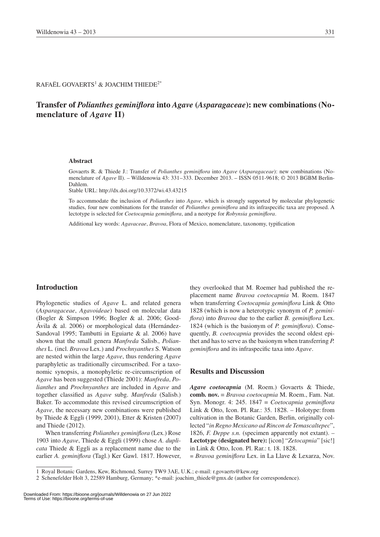$\mathsf{RAFA}\ddot{\mathsf{E}}\mathsf{L}$  GOVAERTS $^1$  & JOACHIM THIEDE $^{2^*}$ 

## **Transfer of** *Polianthes geminiflora* **into** *Agave* **(***Asparagaceae***): new combinations (Nomenclature of** *Agave* **II)**

#### **Abstract**

Govaerts R. & Thiede J.: Transfer of *Polianthes geminiflora* into *Agave* (*Asparagaceae*): new combinations (Nomenclature of *Agave* II). – Willdenowia 43: 331–333. December 2013. – ISSN 0511-9618; © 2013 BGBM Berlin-Dahlem.

Stable URL: http://dx.doi.org/10.3372/wi.43.43215

To accommodate the inclusion of *Polianthes* into *Agave*, which is strongly supported by molecular phylogenetic studies, four new combinations for the transfer of *Polianthes geminiflora* and its infraspecific taxa are proposed. A lectotype is selected for *Coetocapnia geminiflora*, and a neotype for *Robynsia geminiflora*.

Additional key words: *Agavaceae*, *Bravoa*, Flora of Mexico, nomenclature, taxonomy, typification

#### **Introduction**

Phylogenetic studies of *Agave* L. and related genera (*Asparagaceae*, *Agavoideae*) based on molecular data (Bogler & Simpson 1996; Bogler & al. 2006; Good-Ávila & al. 2006) or morphological data (Hernández-Sandoval 1995; Tambutti in Eguiarte & al. 2006) have shown that the small genera *Manfreda* Salisb., *Polianthes* L*.* (incl. *Bravoa* Lex.) and *Prochnyanthes* S. Watson are nested within the large *Agave*, thus rendering *Agave* paraphyletic as traditionally circumscribed. For a taxonomic synopsis, a monophyletic re-circumscription of *Agave* has been suggested (Thiede 2001): *Manfreda*, *Polianthes* and *Prochnyanthes* are included in *Agave* and together classified as *Agave* subg. *Manfreda* (Salisb.) Baker. To accommodate this revised circumscription of *Agave*, the necessary new combinations were published by Thiede & Eggli (1999, 2001), Etter & Kristen (2007) and Thiede (2012).

When transferring *Polianthes geminiflora* (Lex.) Rose 1903 into *Agave*, Thiede & Eggli (1999) chose *A. duplicata* Thiede & Eggli as a replacement name due to the earlier *A. geminiflora* (Tagl.) Ker Gawl. 1817. However,

they overlooked that M. Roemer had published the replacement name *Bravoa coetocapnia* M. Roem. 1847 when transferring *Coetocapnia geminiflora* Link & Otto 1828 (which is now a heterotypic synonym of *P. geminiflora*) into *Bravoa* due to the earlier *B. geminiflora* Lex. 1824 (which is the basionym of *P. geminiflora*). Consequently, *B. coetocapnia* provides the second oldest epithet and has to serve as the basionym when transferring *P. geminiflora* and its infraspecific taxa into *Agave*.

### **Results and Discussion**

*Agave coetocapnia* (M. Roem.) Govaerts & Thiede, **comb. nov.** ≡ *Bravoa coetocapnia* M. Roem., Fam. Nat. Syn. Monogr. 4: 245. 1847 ≡ *Coetocapnia geminiflora* Link & Otto, Icon. Pl. Rar.: 35. 1828. – Holotype: from cultivation in the Botanic Garden, Berlin, originally collected "*in Regno Mexicano ad Rincon de Temascaltepec*", 1826, *F. Deppe s.n.* (specimen apparently not extant). – **Lectotype (designated here):** [icon] "*Zetocapnia*" [sic!] in Link & Otto, Icon. Pl. Rar.: t. 18. 1828.

= *Bravoa geminiflora* Lex. in La Llave & Lexarza, Nov.

<sup>1</sup> Royal Botanic Gardens, Kew, Richmond, Surrey TW9 3AE, U.K.; e-mail: r.govaerts@kew.org

<sup>2</sup> Schenefelder Holt 3, 22589 Hamburg, Germany; \*e-mail: joachim\_thiede@gmx.de (author for correspondence).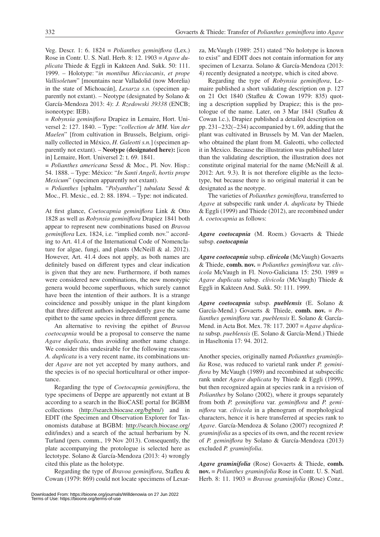Veg. Descr. 1: 6. 1824 ≡ *Polianthes geminiflora* (Lex.) Rose in Contr. U. S. Natl. Herb. 8: 12. 1903 ≡ *Agave duplicata* Thiede & Eggli in Kakteen And. Sukk. 50: 111. 1999. – Holotype: "*in montibus Micciacanis*, *et prope Vallisoletum*" [mountains near Valladolid (now Morelia) in the state of Michoacán], *Lexarza s.n.* (specimen apparently not extant). – Neotype (designated by Solano  $\&$ García-Mendoza 2013: 4): *J. Rzedowski 39338* (ENCB; isoneotype: IEB).

= *Robynsia geminiflora* Drapiez in Lemaire, Hort. Universel 2: 127. 1840. – Type: "*collection de MM. Van der Maelen*" [from cultivation in Brussels, Belgium, originally collected in México, *H. Galeotti s.n.*] (specimen apparently not extant). – **Neotype (designated here):** [icon in] Lemaire, Hort. Universel 2: t. 69. 1841.

*= Polianthes americana* Sessé & Moc., Pl. Nov. Hisp.: 54. 1888. – Type: México: "*In Santi Angeli*, *hortis prope Mexicum*" (specimen apparently not extant).

*= Polianthes* [sphalm. "*Polyanthes*"] *tubulata* Sessé & Moc., Fl. Mexic., ed. 2: 88. 1894. – Type: not indicated.

At first glance, *Coetocapnia geminiflora* Link & Otto 1828 as well as *Robynsia geminiflora* Drapiez 1841 both appear to represent new combinations based on *Bravoa geminiflora* Lex. 1824, i.e. "implied comb. nov." according to Art. 41.4 of the International Code of Nomenclature for algae, fungi, and plants (McNeill & al. 2012). However, Art. 41.4 does not apply, as both names are definitely based on different types and clear indication is given that they are new. Furthermore, if both names were considered new combinations, the new monotypic genera would become superfluous, which surely cannot have been the intention of their authors. It is a strange coincidence and possibly unique in the plant kingdom that three different authors independently gave the same epithet to the same species in three different genera.

An alternative to reviving the epithet of *Bravoa coetocapnia* would be a proposal to conserve the name *Agave duplicata*, thus avoiding another name change. We consider this undesirable for the following reasons: *A. duplicata* is a very recent name, its combinations under *Agave* are not yet accepted by many authors, and the species is of no special horticultural or other importance.

Regarding the type of *Coetocapnia geminiflora*, the type specimens of Deppe are apparently not extant at B according to a search in the BioCASE portal for BGBM collections [\(http://search.biocase.org/bgbm/\)](http://search.biocase.org/bgbm/) and in EDIT (the Specimen and Observation Explorer for Taxonomists database at BGBM: <http://search.biocase.org/> edit/index) and a search of the actual herbarium by N. Turland (pers. comm., 19 Nov 2013). Consequently, the plate accompanying the protologue is selected here as lectotype. Solano & García-Mendoza (2013: 4) wrongly cited this plate as the holotype.

Regarding the type of *Bravoa geminiflora*, Stafleu & Cowan (1979: 869) could not locate specimens of Lexarza, McVaugh (1989: 251) stated "No holotype is known to exist" and EDIT does not contain information for any specimen of Lexarza. Solano & García-Mendoza (2013: 4) recently designated a neotype, which is cited above.

Regarding the type of *Robynsia geminiflora*, Lemaire published a short validating description on p. 127 on 21 Oct 1840 (Stafleu & Cowan 1979: 835) quoting a description supplied by Drapiez; this is the protologue of the name. Later, on 3 Mar 1841 (Stafleu & Cowan l.c.), Drapiez published a detailed description on pp. 231–232(–234) accompanied by t. 69, adding that the plant was cultivated in Brussels by M. Van der Maelen, who obtained the plant from M. Galeotti, who collected it in Mexico. Because the illustration was published later than the validating description, the illustration does not constitute original material for the name (McNeill & al. 2012: Art. 9.3). It is not therefore eligible as the lectotype, but because there is no original material it can be designated as the neotype.

The varieties of *Polianthes geminiflora*, transferred to *Agave* at subspecific rank under *A. duplicata* by Thiede & Eggli (1999) and Thiede (2012), are recombined under *A. coetocapnia* as follows:

*Agave coetocapnia* (M. Roem.) Govaerts & Thiede subsp. *coetocapnia*

*Agave coetocapnia* subsp. *clivicola* (McVaugh) Govaerts & Thiede, **comb. nov.** ≡ *Polianthes geminiflora* var. *clivicola* McVaugh in Fl. Novo-Galiciana 15: 250. 1989 ≡ *Agave duplicata* subsp. *clivicola* (McVaugh) Thiede & Eggli in Kakteen And. Sukk. 50: 111. 1999.

*Agave coetocapnia* subsp. *pueblensis* (E. Solano & García-Mend.) Govaerts & Thiede, **comb. nov.** ≡ *Polianthes geminiflora* var. *pueblensis* E. Solano & García-Mend. in Acta Bot. Mex. 78: 117. 2007 ≡ *Agave duplicata* subsp. *pueblensis* (E. Solano & García-Mend.) Thiede in Haseltonia 17: 94. 2012.

Another species, originally named *Polianthes graminifolia* Rose, was reduced to varietal rank under *P. geminiflora* by McVaugh (1989) and recombined at subspecific rank under *Agave duplicata* by Thiede & Eggli (1999), but then recognized again at species rank in a revision of *Polianthes* by Solano (2002), where it groups separately from both *P. geminiflora* var. *geminiflora* and *P. geminiflora* var. *clivicola* in a phenogram of morphological characters, hence it is here transferred at species rank to *Agave*. García-Mendoza & Solano (2007) recognized *P. graminifolia* as a species of its own, and the recent review of *P. geminiflora* by Solano & García-Mendoza (2013) excluded *P. graminifolia*.

*Agave graminifolia* (Rose) Govaerts & Thiede, **comb. nov.** ≡ *Polianthes graminifolia* Rose in Contr. U. S. Natl. Herb. 8: 11. 1903 ≡ *Bravoa graminifolia* (Rose) Conz.,